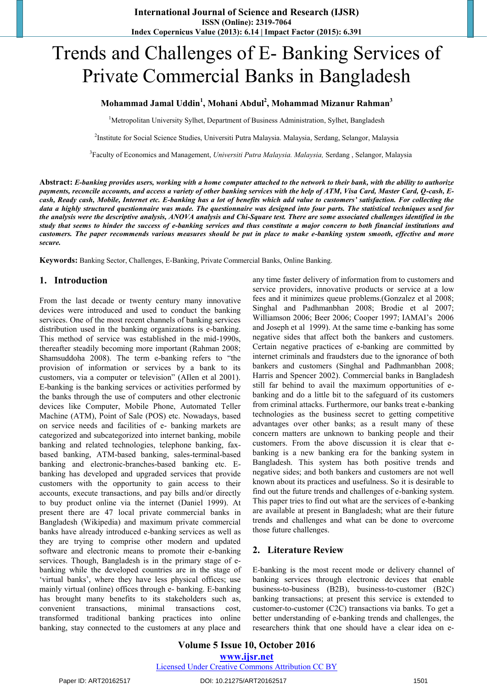# Trends and Challenges of E- Banking Services of Private Commercial Banks in Bangladesh

### **Mohammad Jamal Uddin<sup>1</sup> , Mohani Abdul<sup>2</sup> , Mohammad Mizanur Rahman<sup>3</sup>**

<sup>1</sup>Metropolitan University Sylhet, Department of Business Administration, Sylhet, Bangladesh

2 Institute for Social Science Studies, Universiti Putra Malaysia. Malaysia, Serdang, Selangor, Malaysia

3Faculty of Economics and Management, *Universiti Putra Malaysia. Malaysia,* Serdang , Selangor, Malaysia

**Abstract:** *E-banking provides users, working with a home computer attached to the network to their bank, with the ability to authorize payments, reconcile accounts, and access a variety of other banking services with the help of ATM, Visa Card, Master Card, Q-cash, Ecash, Ready cash, Mobile, Internet etc. E-banking has a lot of benefits which add value to customers' satisfaction. For collecting the data a highly structured questionnaire was made. The questionnaire was designed into four parts. The statistical techniques used for the analysis were the descriptive analysis, ANOVA analysis and Chi-Square test. There are some associated challenges identified in the study that seems to hinder the success of e-banking services and thus constitute a major concern to both financial institutions and customers. The paper recommends various measures should be put in place to make e-banking system smooth, effective and more secure.* 

**Keywords:** Banking Sector, Challenges, E-Banking, Private Commercial Banks, Online Banking.

#### **1. Introduction**

From the last decade or twenty century many innovative devices were introduced and used to conduct the banking services. One of the most recent channels of banking services distribution used in the banking organizations is e-banking. This method of service was established in the mid-1990s, thereafter steadily becoming more important (Rahman 2008; Shamsuddoha 2008). The term e-banking refers to "the provision of information or services by a bank to its customers, via a computer or television" (AIlen et al 2001). E-banking is the banking services or activities performed by the banks through the use of computers and other electronic devices like Computer, Mobile Phone, Automated Teller Machine (ATM), Point of Sale (POS) etc. Nowadays, based on service needs and facilities of e- banking markets are categorized and subcategorized into internet banking, mobile banking and related technologies, telephone banking, faxbased banking, ATM-based banking, sales-terminal-based banking and electronic-branches-based banking etc. Ebanking has developed and upgraded services that provide customers with the opportunity to gain access to their accounts, execute transactions, and pay bills and/or directly to buy product online via the internet (Daniel 1999). At present there are 47 local private commercial banks in Bangladesh (Wikipedia) and maximum private commercial banks have already introduced e-banking services as well as they are trying to comprise other modern and updated software and electronic means to promote their e-banking services. Though, Bangladesh is in the primary stage of ebanking while the developed countries are in the stage of 'virtual banks', where they have less physical offices; use mainly virtual (online) offices through e- banking. E-banking has brought many benefits to its stakeholders such as, convenient transactions, minimal transactions cost, transformed traditional banking practices into online banking, stay connected to the customers at any place and

any time faster delivery of information from to customers and service providers, innovative products or service at a low fees and it minimizes queue problems.(Gonzalez et al 2008; Singhal and Padhmanbhan 2008; Brodie et al 2007; Williamson 2006; Beer 2006; Cooper 1997; IAMAI"s 2006 and Joseph et al 1999). At the same time e-banking has some negative sides that affect both the bankers and customers. Certain negative practices of e-banking are committed by internet criminals and fraudsters due to the ignorance of both bankers and customers (Singhal and Padhmanbhan 2008; Harris and Spencer 2002). Commercial banks in Bangladesh still far behind to avail the maximum opportunities of ebanking and do a little bit to the safeguard of its customers from criminal attacks. Furthermore, our banks treat e-banking technologies as the business secret to getting competitive advantages over other banks; as a result many of these concern matters are unknown to banking people and their customers. From the above discussion it is clear that ebanking is a new banking era for the banking system in Bangladesh. This system has both positive trends and negative sides; and both bankers and customers are not well known about its practices and usefulness. So it is desirable to find out the future trends and challenges of e-banking system. This paper tries to find out what are the services of e-banking are available at present in Bangladesh; what are their future trends and challenges and what can be done to overcome those future challenges.

#### **2. Literature Review**

E-banking is the most recent mode or delivery channel of banking services through electronic devices that enable business-to-business (B2B), business-to-customer (B2C) banking transactions; at present this service is extended to customer-to-customer (C2C) transactions via banks. To get a better understanding of e-banking trends and challenges, the researchers think that one should have a clear idea on e-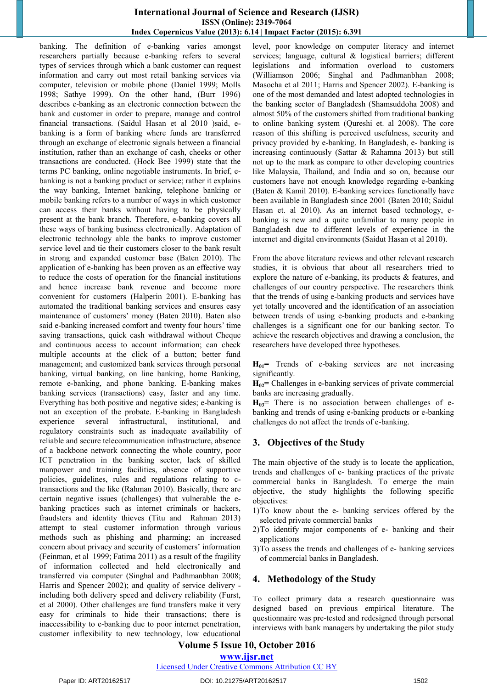#### **International Journal of Science and Research (IJSR) ISSN (Online): 2319-7064 Index Copernicus Value (2013): 6.14 | Impact Factor (2015): 6.391**

banking. The definition of e-banking varies amongst researchers partially because e-banking refers to several types of services through which a bank customer can request information and carry out most retail banking services via computer, television or mobile phone (Daniel 1999; Molls 1998; Sathye 1999). On the other hand, (Burr 1996) describes e-banking as an electronic connection between the bank and customer in order to prepare, manage and control financial transactions. (Saidul Hasan et al 2010 )said, ebanking is a form of banking where funds are transferred through an exchange of electronic signals between a financial institution, rather than an exchange of cash, cheeks or other transactions are conducted. (Hock Bee 1999) state that the terms PC banking, online negotiable instruments. In brief, ebanking is not a banking product or service; rather it explains the way banking, Internet banking, telephone banking or mobile banking refers to a number of ways in which customer can access their banks without having to be physically present at the bank branch. Therefore, e-banking covers all these ways of banking business electronically. Adaptation of electronic technology able the banks to improve customer service level and tie their customers closer to the bank result in strong and expanded customer base (Baten 2010). The application of e-banking has been proven as an effective way to reduce the costs of operation for the financial institutions and hence increase bank revenue and become more convenient for customers (Halperin 2001). E-banking has automated the traditional banking services and ensures easy maintenance of customers' money (Baten 2010). Baten also said e-banking increased comfort and twenty four hours' time saving transactions, quick cash withdrawal without Cheque and continuous access to account information; can check multiple accounts at the click of a button; better fund management; and customized bank services through personal banking, virtual banking, on line banking, home Banking, remote e-banking, and phone banking. E-banking makes banking services (transactions) easy, faster and any time. Everything has both positive and negative sides; e-banking is not an exception of the probate. E-banking in Bangladesh experience several infrastructural, institutional, and regulatory constraints such as inadequate availability of reliable and secure telecommunication infrastructure, absence of a backbone network connecting the whole country, poor ICT penetration in the banking sector, lack of skilled manpower and training facilities, absence of supportive policies, guidelines, rules and regulations relating to ctransactions and the like (Rahman 2010). Basically, there are certain negative issues (challenges) that vulnerable the ebanking practices such as internet criminals or hackers, fraudsters and identity thieves (Titu and Rahman 2013) attempt to steal customer information through various methods such as phishing and pharming; an increased concern about privacy and security of customers' information (Feinman, et al 1999; Fatima 2011) as a result of the fragility of information collected and held electronically and transferred via computer (Singhal and Padhmanbhan 2008; Harris and Spencer 2002); and quality of service delivery including both delivery speed and delivery reliability (Furst, et al 2000). Other challenges are fund transfers make it very easy for criminals to hide their transactions; there is inaccessibility to e-banking due to poor internet penetration, customer inflexibility to new technology, low educational

level, poor knowledge on computer literacy and internet services; language, cultural & logistical barriers; different legislations and information overload to customers (Williamson 2006; Singhal and Padhmanbhan 2008; Masocha et al 2011; Harris and Spencer 2002). E-banking is one of the most demanded and latest adopted technologies in the banking sector of Bangladesh (Shamsuddoha 2008) and almost 50% of the customers shifted from traditional banking to online banking system (Qureshi et. al 2008). The core reason of this shifting is perceived usefulness, security and privacy provided by e-banking. In Bangladesh, e- banking is increasing continuously (Sattar & Rahamna 2013) but still not up to the mark as compare to other developing countries like Malaysia, Thailand, and India and so on, because our customers have not enough knowledge regarding e-banking (Baten & Kamil 2010). E-banking services functionally have been available in Bangladesh since 2001 (Baten 2010; Saidul Hasan et. al 2010). As an internet based technology, ebanking is new and a quite unfamiliar to many people in Bangladesh due to different levels of experience in the internet and digital environments (Saidut Hasan et al 2010).

From the above literature reviews and other relevant research studies, it is obvious that about all researchers tried to explore the nature of e-banking, its products & features, and challenges of our country perspective. The researchers think that the trends of using e-banking products and services have yet totally uncovered and the identification of an association between trends of using e-banking products and e-banking challenges is a significant one for our banking sector. To achieve the research objectives and drawing a conclusion, the researchers have developed three hypotheses.

**H01=** Trends of e-baking services are not increasing significantly.

**H02=** Challenges in e-banking services of private commercial banks are increasing gradually.

H<sub>03</sub>= There is no association between challenges of ebanking and trends of using e-banking products or e-banking challenges do not affect the trends of e-banking.

# **3. Objectives of the Study**

The main objective of the study is to locate the application, trends and challenges of e- banking practices of the private commercial banks in Bangladesh. To emerge the main objective, the study highlights the following specific objectives:

- 1)To know about the e- banking services offered by the selected private commercial banks
- 2)To identify major components of e- banking and their applications
- 3)To assess the trends and challenges of e- banking services of commercial banks in Bangladesh.

#### **4. Methodology of the Study**

To collect primary data a research questionnaire was designed based on previous empirical literature. The questionnaire was pre-tested and redesigned through personal interviews with bank managers by undertaking the pilot study

#### **Volume 5 Issue 10, October 2016**

**www.ijsr.net**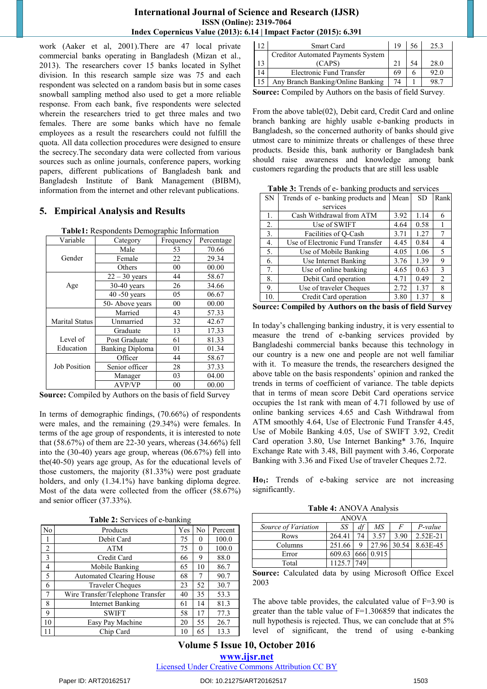#### **International Journal of Science and Research (IJSR) ISSN (Online): 2319-7064 Index Copernicus Value (2013): 6.14 | Impact Factor (2015): 6.391**

work (Aaker et al, 2001).There are 47 local private commercial banks operating in Bangladesh (Mizan et al., 2013). The researchers cover 15 banks located in Sylhet division. In this research sample size was 75 and each respondent was selected on a random basis but in some cases snowball sampling method also used to get a more reliable response. From each bank, five respondents were selected wherein the researchers tried to get three males and two females. There are some banks which have no female employees as a result the researchers could not fulfill the quota. All data collection procedures were designed to ensure the secrecy.The secondary data were collected from various sources such as online journals, conference papers, working papers, different publications of Bangladesh bank and Bangladesh Institute of Bank Management (BIBM), information from the internet and other relevant publications.

# **5. Empirical Analysis and Results**

|                     | <b>r apier.</b> Kespondents Demographic information |           |            |
|---------------------|-----------------------------------------------------|-----------|------------|
| Variable            | Category                                            | Frequency | Percentage |
|                     | Male                                                | 53        | 70.66      |
| Gender              | Female                                              | 22        | 29.34      |
|                     | Others                                              | 00        | 00.00      |
|                     | $22 - 30$ years                                     | 44        | 58.67      |
| Age                 | $30-40$ years                                       | 26        | 34.66      |
|                     | $40 - 50$ years                                     | 05        | 06.67      |
|                     | 50- Above years                                     | 00        | 00.00      |
|                     | Married                                             | 43        | 57.33      |
| Marital Status      | Unmarried                                           | 32        | 42.67      |
|                     | Graduate                                            | 13        | 17.33      |
| Level of            | Post Graduate                                       | 61        | 81.33      |
| Education           | <b>Banking Diploma</b>                              | 01        | 01.34      |
|                     | Officer                                             | 44        | 58.67      |
| <b>Job Position</b> | Senior officer                                      | 28        | 37.33      |
|                     | Manager                                             | 03        | 04.00      |
|                     | <b>AVP/VP</b>                                       | 00        | 00.00      |

**Table1:** Respondents Demographic Information

**Source:** Compiled by Authors on the basis of field Survey

In terms of demographic findings, (70.66%) of respondents were males, and the remaining (29.34%) were females. In terms of the age group of respondents, it is interested to note that (58.67%) of them are 22-30 years, whereas (34.66%) fell into the (30-40) years age group, whereas (06.67%) fell into the(40-50) years age group, As for the educational levels of those customers, the majority (81.33%) were post graduate holders, and only (1.34.1%) have banking diploma degree. Most of the data were collected from the officer (58.67%) and senior officer (37.33%).

**Table 2:** Services of e-banking

|                |                                  | 70  |    |         |
|----------------|----------------------------------|-----|----|---------|
| N <sub>o</sub> | Products                         | Yes | No | Percent |
|                | Debit Card                       | 75  | 0  | 100.0   |
| $\overline{2}$ | <b>ATM</b>                       | 75  | 0  | 100.0   |
| 3              | Credit Card                      | 66  | 9  | 88.0    |
| $\overline{4}$ | Mobile Banking                   | 65  | 10 | 86.7    |
| 5              | <b>Automated Clearing House</b>  | 68  | 7  | 90.7    |
| 6              | <b>Traveler Cheques</b>          | 23  | 52 | 30.7    |
| $\tau$         | Wire Transfer/Telephone Transfer | 40  | 35 | 53.3    |
| 8              | Internet Banking                 | 61  | 14 | 81.3    |
| 9              | <b>SWIFT</b>                     | 58  | 17 | 77.3    |
| 10             | Easy Pay Machine                 | 20  | 55 | 26.7    |
|                | Chip Card                        | 10  | 65 | 13.3    |

|    | Smart Card                         | 19 |    | 25.3 |
|----|------------------------------------|----|----|------|
|    | Creditor Automated Payments System |    |    |      |
|    | (CAPS)                             |    | 54 | 28.0 |
| 14 | Electronic Fund Transfer           | 69 |    | 92.0 |
| 15 | Any Branch Banking/Online Banking  | 74 |    | 98.7 |
|    | .                                  |    |    |      |

**Source:** Compiled by Authors on the basis of field Survey.

From the above table(02), Debit card, Credit Card and online branch banking are highly usable e-banking products in Bangladesh, so the concerned authority of banks should give utmost care to minimize threats or challenges of these three products. Beside this, bank authority or Bangladesh bank should raise awareness and knowledge among bank customers regarding the products that are still less usable

|  |  | Table 3: Trends of e- banking products and services |
|--|--|-----------------------------------------------------|
|  |  |                                                     |

| ${\rm SN}$ | Trends of e- banking products and                         | Mean | <b>SD</b> | Rank |
|------------|-----------------------------------------------------------|------|-----------|------|
|            | services                                                  |      |           |      |
| 1.         | Cash Withdrawal from ATM                                  | 3.92 | 1.14      | 6    |
| 2.         | Use of SWIFT                                              | 4.64 | 0.58      |      |
| 3.         | Facilities of O-Cash                                      | 3.71 | 1.27      | 7    |
| 4.         | Use of Electronic Fund Transfer                           | 4.45 | 0.84      | 4    |
| 5.         | Use of Mobile Banking                                     | 4.05 | 1.06      | 5    |
| 6.         | Use Internet Banking                                      | 3.76 | 1.39      | 9    |
| 7.         | Use of online banking                                     | 4.65 | 0.63      | 3    |
| 8.         | Debit Card operation                                      | 4.71 | 0.49      | 2    |
| 9.         | Use of traveler Cheques                                   | 2.72 | 1.37      | 8    |
| 10.        | Credit Card operation                                     | 3.80 | 1.37      | 8    |
|            | $\sim$ $\sim$ 11 $\mu$ $\mu$ $\sim$ 11 $\sim$ 0.000 $\mu$ |      |           |      |

**Source: Compiled by Authors on the basis of field Survey**

In today"s challenging banking industry, it is very essential to measure the trend of e-banking services provided by Bangladeshi commercial banks because this technology in our country is a new one and people are not well familiar with it. To measure the trends, the researchers designed the above table on the basis respondents' opinion and ranked the trends in terms of coefficient of variance. The table depicts that in terms of mean score Debit Card operations service occupies the 1st rank with mean of 4.71 followed by use of online banking services 4.65 and Cash Withdrawal from ATM smoothly 4.64, Use of Electronic Fund Transfer 4.45, Use of Mobile Banking 4.05, Use of SWIFT 3.92, Credit Card operation 3.80, Use Internet Banking\* 3.76, Inquire Exchange Rate with 3.48, Bill payment with 3.46, Corporate Banking with 3.36 and Fixed Use of traveler Cheques 2.72.

Ho<sub>1</sub>: Trends of e-baking service are not increasing significantly.

**Table 4:** ANOVA Analysis

| <b>ANOVA</b>        |        |     |       |       |          |
|---------------------|--------|-----|-------|-------|----------|
| Source of Variation | SS     | a   | МS    | F     | P-value  |
| Rows                | 264.41 | 74  | 3.57  | 3.90  | 2.52E-21 |
| Columns             | 251.66 | 9   | 27.96 | 30.54 | 8.63E-45 |
| Error               | 609.63 | 666 | 0.915 |       |          |
| Total               | 1125.7 |     |       |       |          |

**Source:** Calculated data by using Microsoft Office Excel 2003

The above table provides, the calculated value of  $F=3.90$  is greater than the table value of F=1.306859 that indicates the null hypothesis is rejected. Thus, we can conclude that at 5% level of significant, the trend of using e-banking

# **Volume 5 Issue 10, October 2016**

**www.ijsr.net**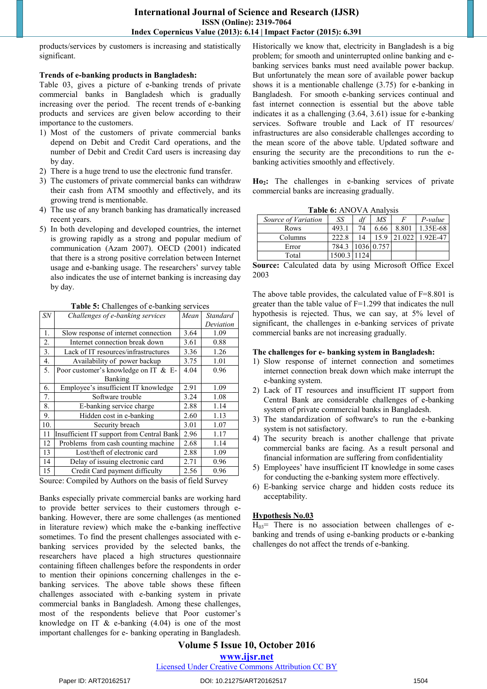products/services by customers is increasing and statistically significant.

#### **Trends of e-banking products in Bangladesh:**

Table 03, gives a picture of e-banking trends of private commercial banks in Bangladesh which is gradually increasing over the period. The recent trends of e-banking products and services are given below according to their importance to the customers.

- 1) Most of the customers of private commercial banks depend on Debit and Credit Card operations, and the number of Debit and Credit Card users is increasing day by day.
- 2) There is a huge trend to use the electronic fund transfer.
- 3) The customers of private commercial banks can withdraw their cash from ATM smoothly and effectively, and its growing trend is mentionable.
- 4) The use of any branch banking has dramatically increased recent years.
- 5) In both developing and developed countries, the internet is growing rapidly as a strong and popular medium of communication (Azam 2007). OECD (2001) indicated that there is a strong positive correlation between Internet usage and e-banking usage. The researchers' survey table also indicates the use of internet banking is increasing day by day.

| <b>SN</b><br>Mean<br><b>Standard</b><br>1.<br>Slow response of internet connection<br>1.09<br>3.64<br>2.<br>Internet connection break down<br>3.61<br>0.88<br>3.<br>3.36<br>Lack of IT resources/infrastructures<br>1.26<br>4.<br>3.75<br>1.01<br>Availability of power backup<br>5.<br>4.04<br>Poor customer's knowledge on IT & E-<br>0.96<br>Banking<br>Employee's insufficient IT knowledge<br>2.91<br>6.<br>1.09<br>7.<br>Software trouble<br>3.24<br>1.08<br>8.<br>2.88<br>1.14<br>E-banking service charge<br>9.<br>Hidden cost in e-banking<br>1.13<br>2.60<br>10.<br>3.01<br>1.07<br>Security breach<br>Insufficient IT support from Central Bank<br>2.96<br>1.17<br>11 | $\mathbf{r}$ and $\mathbf{v}$ , enanthly $\mathbf{v}$ or $\mathbf{v}$ exhibiting |           |
|----------------------------------------------------------------------------------------------------------------------------------------------------------------------------------------------------------------------------------------------------------------------------------------------------------------------------------------------------------------------------------------------------------------------------------------------------------------------------------------------------------------------------------------------------------------------------------------------------------------------------------------------------------------------------------|----------------------------------------------------------------------------------|-----------|
|                                                                                                                                                                                                                                                                                                                                                                                                                                                                                                                                                                                                                                                                                  | Challenges of e-banking services                                                 |           |
|                                                                                                                                                                                                                                                                                                                                                                                                                                                                                                                                                                                                                                                                                  |                                                                                  | Deviation |
|                                                                                                                                                                                                                                                                                                                                                                                                                                                                                                                                                                                                                                                                                  |                                                                                  |           |
|                                                                                                                                                                                                                                                                                                                                                                                                                                                                                                                                                                                                                                                                                  |                                                                                  |           |
|                                                                                                                                                                                                                                                                                                                                                                                                                                                                                                                                                                                                                                                                                  |                                                                                  |           |
|                                                                                                                                                                                                                                                                                                                                                                                                                                                                                                                                                                                                                                                                                  |                                                                                  |           |
|                                                                                                                                                                                                                                                                                                                                                                                                                                                                                                                                                                                                                                                                                  |                                                                                  |           |
|                                                                                                                                                                                                                                                                                                                                                                                                                                                                                                                                                                                                                                                                                  |                                                                                  |           |
|                                                                                                                                                                                                                                                                                                                                                                                                                                                                                                                                                                                                                                                                                  |                                                                                  |           |
|                                                                                                                                                                                                                                                                                                                                                                                                                                                                                                                                                                                                                                                                                  |                                                                                  |           |
|                                                                                                                                                                                                                                                                                                                                                                                                                                                                                                                                                                                                                                                                                  |                                                                                  |           |
|                                                                                                                                                                                                                                                                                                                                                                                                                                                                                                                                                                                                                                                                                  |                                                                                  |           |
|                                                                                                                                                                                                                                                                                                                                                                                                                                                                                                                                                                                                                                                                                  |                                                                                  |           |
|                                                                                                                                                                                                                                                                                                                                                                                                                                                                                                                                                                                                                                                                                  |                                                                                  |           |
| 12<br>Problems from cash counting machine<br>1.14<br>2.68                                                                                                                                                                                                                                                                                                                                                                                                                                                                                                                                                                                                                        |                                                                                  |           |
| Lost/theft of electronic card<br>13<br>2.88<br>1.09                                                                                                                                                                                                                                                                                                                                                                                                                                                                                                                                                                                                                              |                                                                                  |           |
| 14<br>Delay of issuing electronic card<br>2.71<br>0.96                                                                                                                                                                                                                                                                                                                                                                                                                                                                                                                                                                                                                           |                                                                                  |           |
| 15<br>Credit Card payment difficulty<br>2.56<br>0.96                                                                                                                                                                                                                                                                                                                                                                                                                                                                                                                                                                                                                             |                                                                                  |           |

Table 5: Challenges of e-banking services

Source: Compiled by Authors on the basis of field Survey

Banks especially private commercial banks are working hard to provide better services to their customers through ebanking. However, there are some challenges (as mentioned in literature review) which make the e-banking ineffective sometimes. To find the present challenges associated with ebanking services provided by the selected banks, the researchers have placed a high structures questionnaire containing fifteen challenges before the respondents in order to mention their opinions concerning challenges in the ebanking services. The above table shows these fifteen challenges associated with e-banking system in private commercial banks in Bangladesh. Among these challenges, most of the respondents believe that Poor customer's knowledge on IT  $&$  e-banking (4.04) is one of the most important challenges for e- banking operating in Bangladesh.

Historically we know that, electricity in Bangladesh is a big problem; for smooth and uninterrupted online banking and ebanking services banks must need available power backup. But unfortunately the mean sore of available power backup shows it is a mentionable challenge (3.75) for e-banking in Bangladesh. For smooth e-banking services continual and fast internet connection is essential but the above table indicates it as a challenging (3.64, 3.61) issue for e-banking services. Software trouble and Lack of IT resources/ infrastructures are also considerable challenges according to the mean score of the above table. Updated software and ensuring the security are the preconditions to run the ebanking activities smoothly and effectively.

**Ho2:** The challenges in e-banking services of private commercial banks are increasing gradually.

**Table 6:** ANOVA Analysis

| Source of Variation | SS     | df  | МS         |       | P-value  |
|---------------------|--------|-----|------------|-------|----------|
| Rows                | 493.1  | 74  | 6.66       | 8.801 | 1.35E-68 |
| Columns             | 222.8  | 14  | 15.9       |       | 1.92E-47 |
| Error               | 784.3  |     | 1036 0.757 |       |          |
| Total               | 1500.3 | 124 |            |       |          |

**Source:** Calculated data by using Microsoft Office Excel 2003

The above table provides, the calculated value of  $F=8.801$  is greater than the table value of F=1.299 that indicates the null hypothesis is rejected. Thus, we can say, at 5% level of significant, the challenges in e-banking services of private commercial banks are not increasing gradually.

#### **The challenges for e- banking system in Bangladesh:**

- 1) Slow response of internet connection and sometimes internet connection break down which make interrupt the e-banking system.
- 2) Lack of IT resources and insufficient IT support from Central Bank are considerable challenges of e-banking system of private commercial banks in Bangladesh.
- 3) The standardization of software's to run the e-banking system is not satisfactory.
- 4) The security breach is another challenge that private commercial banks are facing. As a result personal and financial information are suffering from confidentiality
- 5) Employees" have insufficient IT knowledge in some cases for conducting the e-banking system more effectively.
- 6) E-banking service charge and hidden costs reduce its acceptability.

#### **Hypothesis No.03**

 $H_{03}$ = There is no association between challenges of ebanking and trends of using e-banking products or e-banking challenges do not affect the trends of e-banking.

# **Volume 5 Issue 10, October 2016**

**www.ijsr.net**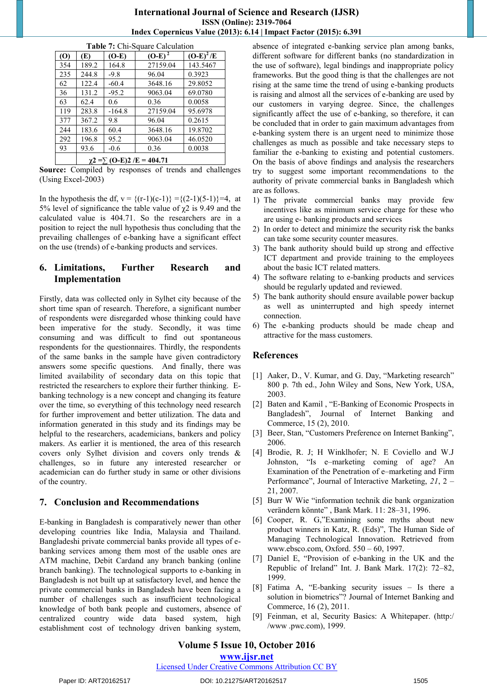#### **International Journal of Science and Research (IJSR) ISSN (Online): 2319-7064 Index Copernicus Value (2013): 6.14 | Impact Factor (2015): 6.391**

| Table 7. Chi-Budare Calculation |                                      |          |           |             |  |  |  |
|---------------------------------|--------------------------------------|----------|-----------|-------------|--|--|--|
| (0)                             | (E)                                  | $(O-E)$  | $(O-E)^2$ | $(O-E)^2/E$ |  |  |  |
| 354                             | 189.2                                | 164.8    | 27159.04  | 143.5467    |  |  |  |
| 235                             | 244.8                                | $-9.8$   | 96.04     | 0.3923      |  |  |  |
| 62                              | 122.4                                | $-60.4$  | 3648.16   | 29.8052     |  |  |  |
| 36                              | 131.2                                | $-95.2$  | 9063.04   | 69.0780     |  |  |  |
| 63                              | 62.4                                 | 0.6      | 0.36      | 0.0058      |  |  |  |
| 119                             | 283.8                                | $-164.8$ | 27159.04  | 95.6978     |  |  |  |
| 377                             | 367.2                                | 9.8      | 96.04     | 0.2615      |  |  |  |
| 244                             | 183.6                                | 60.4     | 3648.16   | 19.8702     |  |  |  |
| 292                             | 196.8                                | 95.2     | 9063.04   | 46.0520     |  |  |  |
| 93                              | 93.6                                 | $-0.6$   | 0.36      | 0.0038      |  |  |  |
|                                 | $\chi$ 2 = $\sum$ (O-E)2 /E = 404.71 |          |           |             |  |  |  |

**Table 7: Chi-Square Calculation** 

**Source:** Compiled by responses of trends and challenges (Using Excel-2003)

In the hypothesis the df,  $v = \{(r-1)(c-1)\} = \{(2-1)(5-1)\} = 4$ , at 5% level of significance the table value of  $χ$ 2 is 9.49 and the calculated value is 404.71. So the researchers are in a position to reject the null hypothesis thus concluding that the prevailing challenges of e-banking have a significant effect on the use (trends) of e-banking products and services.

# **6. Limitations, Further Research and Implementation**

Firstly, data was collected only in Sylhet city because of the short time span of research. Therefore, a significant number of respondents were disregarded whose thinking could have been imperative for the study. Secondly, it was time consuming and was difficult to find out spontaneous respondents for the questionnaires. Thirdly, the respondents of the same banks in the sample have given contradictory answers some specific questions. And finally, there was limited availability of secondary data on this topic that restricted the researchers to explore their further thinking. Ebanking technology is a new concept and changing its feature over the time, so everything of this technology need research for further improvement and better utilization. The data and information generated in this study and its findings may be helpful to the researchers, academicians, bankers and policy makers. As earlier it is mentioned, the area of this research covers only Sylhet division and covers only trends & challenges, so in future any interested researcher or academician can do further study in same or other divisions of the country.

# **7. Conclusion and Recommendations**

E-banking in Bangladesh is comparatively newer than other developing countries like India, Malaysia and Thailand. Bangladeshi private commercial banks provide all types of ebanking services among them most of the usable ones are ATM machine, Debit Cardand any branch banking (online branch banking). The technological supports to e-banking in Bangladesh is not built up at satisfactory level, and hence the private commercial banks in Bangladesh have been facing a number of challenges such as insufficient technological knowledge of both bank people and customers, absence of centralized country wide data based system, high establishment cost of technology driven banking system,

absence of integrated e-banking service plan among banks, different software for different banks (no standardization in the use of software), legal bindings and inappropriate policy frameworks. But the good thing is that the challenges are not rising at the same time the trend of using e-banking products is raising and almost all the services of e-banking are used by our customers in varying degree. Since, the challenges significantly affect the use of e-banking, so therefore, it can be concluded that in order to gain maximum advantages from e-banking system there is an urgent need to minimize those challenges as much as possible and take necessary steps to familiar the e-banking to existing and potential customers. On the basis of above findings and analysis the researchers try to suggest some important recommendations to the authority of private commercial banks in Bangladesh which are as follows.

- 1) The private commercial banks may provide few incentives like as minimum service charge for these who are using e- banking products and services
- 2) In order to detect and minimize the security risk the banks can take some security counter measures.
- 3) The bank authority should build up strong and effective ICT department and provide training to the employees about the basic ICT related matters.
- 4) The software relating to e-banking products and services should be regularly updated and reviewed.
- 5) The bank authority should ensure available power backup as well as uninterrupted and high speedy internet connection.
- 6) The e-banking products should be made cheap and attractive for the mass customers.

#### **References**

- [1] Aaker, D., V. Kumar, and G. Day, "Marketing research" 800 p. 7th ed., John Wiley and Sons, New York, USA, 2003.
- [2] Baten and Kamil , "E-Banking of Economic Prospects in Bangladesh", Journal of Internet Banking and Commerce, 15 (2), 2010.
- [3] Beer, Stan, "Customers Preference on Internet Banking", 2006.
- [4] Brodie, R. J; H Winklhofer; N. E Coviello and W.J Johnston, "Is e–marketing coming of age? An Examination of the Penetration of e–marketing and Firm Performance", Journal of Interactive Marketing, *21*, 2 – 21, 2007.
- [5] Burr W Wie "information technik die bank organization verändern könnte" , Bank Mark. 11: 28–31, 1996.
- [6] Cooper, R. G,"Examining some myths about new product winners in Katz, R. (Eds)", The Human Side of Managing Technological Innovation. Retrieved from [www.ebsco.com,](http://www.ebsco.com/) Oxford. 550 – 60, 1997.
- [7] Daniel E, "Provision of e-banking in the UK and the Republic of Ireland" Int. J. Bank Mark. 17(2): 72–82, 1999.
- [8] Fatima A, "E-banking security issues Is there a solution in biometrics"? Journal of Internet Banking and Commerce, 16 (2), 2011.
- [9] Feinman, et al, Security Basics: A Whitepaper. (http:/ /www .pwc.com), 1999.

#### **Volume 5 Issue 10, October 2016**

**www.ijsr.net**